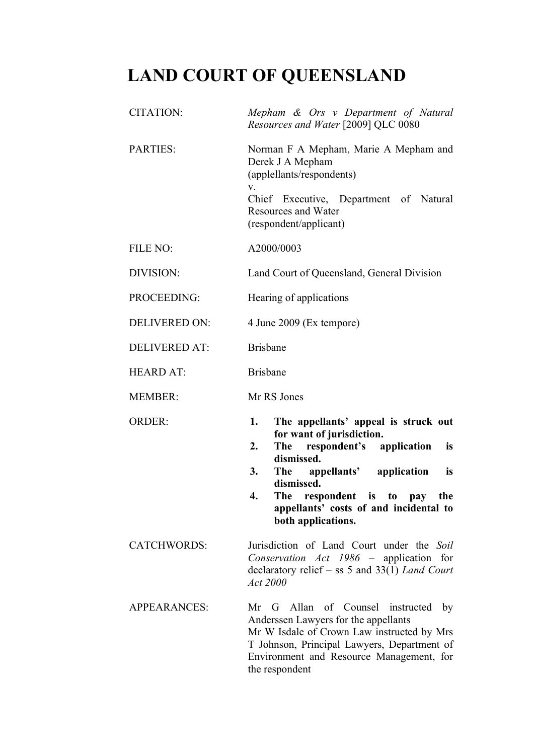## **LAND COURT OF QUEENSLAND**

| <b>CITATION:</b>     | Mepham & Ors v Department of Natural<br>Resources and Water [2009] QLC 0080                                                                                                                                                                                                                            |
|----------------------|--------------------------------------------------------------------------------------------------------------------------------------------------------------------------------------------------------------------------------------------------------------------------------------------------------|
| <b>PARTIES:</b>      | Norman F A Mepham, Marie A Mepham and<br>Derek J A Mepham<br>(applellants/respondents)<br>V.<br>Chief Executive, Department of Natural<br><b>Resources and Water</b><br>(respondent/applicant)                                                                                                         |
| FILE NO:             | A2000/0003                                                                                                                                                                                                                                                                                             |
| DIVISION:            | Land Court of Queensland, General Division                                                                                                                                                                                                                                                             |
| PROCEEDING:          | Hearing of applications                                                                                                                                                                                                                                                                                |
| <b>DELIVERED ON:</b> | 4 June 2009 (Ex tempore)                                                                                                                                                                                                                                                                               |
| <b>DELIVERED AT:</b> | <b>Brisbane</b>                                                                                                                                                                                                                                                                                        |
| <b>HEARD AT:</b>     | <b>Brisbane</b>                                                                                                                                                                                                                                                                                        |
| <b>MEMBER:</b>       | Mr RS Jones                                                                                                                                                                                                                                                                                            |
| <b>ORDER:</b>        | 1.<br>The appellants' appeal is struck out<br>for want of jurisdiction.<br>respondent's application<br>2.<br>The<br>is<br>dismissed.<br>3.<br>The appellants' application<br>is<br>dismissed.<br>The respondent is to pay<br>4.<br>the<br>appellants' costs of and incidental to<br>both applications. |
| <b>CATCHWORDS:</b>   | Jurisdiction of Land Court under the Soil<br>Conservation Act 1986 - application for<br>declaratory relief – ss 5 and 33(1) Land Court<br>Act 2000                                                                                                                                                     |
| <b>APPEARANCES:</b>  | Mr G Allan of Counsel instructed<br>$_{\rm by}$<br>Anderssen Lawyers for the appellants<br>Mr W Isdale of Crown Law instructed by Mrs                                                                                                                                                                  |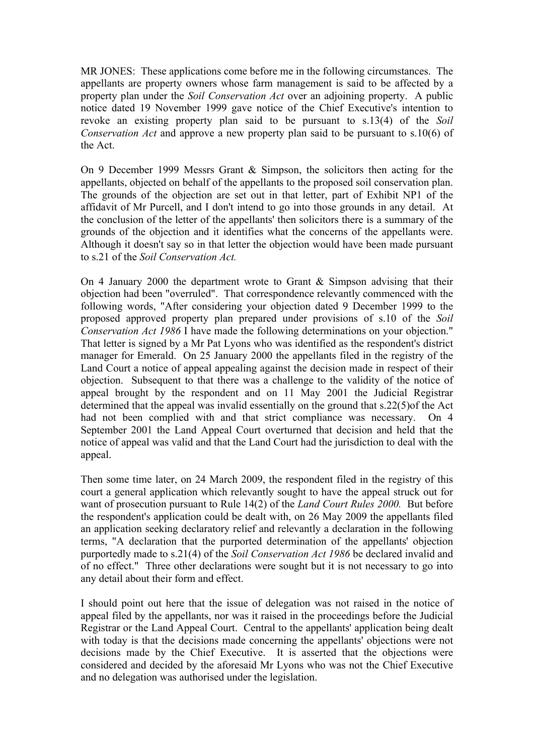MR JONES: These applications come before me in the following circumstances. The appellants are property owners whose farm management is said to be affected by a property plan under the *Soil Conservation Act* over an adjoining property. A public notice dated 19 November 1999 gave notice of the Chief Executive's intention to revoke an existing property plan said to be pursuant to s.13(4) of the *Soil Conservation Act* and approve a new property plan said to be pursuant to s.10(6) of the Act.

On 9 December 1999 Messrs Grant & Simpson, the solicitors then acting for the appellants, objected on behalf of the appellants to the proposed soil conservation plan. The grounds of the objection are set out in that letter, part of Exhibit NP1 of the affidavit of Mr Purcell, and I don't intend to go into those grounds in any detail. At the conclusion of the letter of the appellants' then solicitors there is a summary of the grounds of the objection and it identifies what the concerns of the appellants were. Although it doesn't say so in that letter the objection would have been made pursuant to s.21 of the *Soil Conservation Act.* 

On 4 January 2000 the department wrote to Grant & Simpson advising that their objection had been "overruled". That correspondence relevantly commenced with the following words, "After considering your objection dated 9 December 1999 to the proposed approved property plan prepared under provisions of s.10 of the *Soil Conservation Act 1986* I have made the following determinations on your objection." That letter is signed by a Mr Pat Lyons who was identified as the respondent's district manager for Emerald. On 25 January 2000 the appellants filed in the registry of the Land Court a notice of appeal appealing against the decision made in respect of their objection. Subsequent to that there was a challenge to the validity of the notice of appeal brought by the respondent and on 11 May 2001 the Judicial Registrar determined that the appeal was invalid essentially on the ground that s.22(5)of the Act had not been complied with and that strict compliance was necessary. On 4 September 2001 the Land Appeal Court overturned that decision and held that the notice of appeal was valid and that the Land Court had the jurisdiction to deal with the appeal.

Then some time later, on 24 March 2009, the respondent filed in the registry of this court a general application which relevantly sought to have the appeal struck out for want of prosecution pursuant to Rule 14(2) of the *Land Court Rules 2000.* But before the respondent's application could be dealt with, on 26 May 2009 the appellants filed an application seeking declaratory relief and relevantly a declaration in the following terms, "A declaration that the purported determination of the appellants' objection purportedly made to s.21(4) of the *Soil Conservation Act 1986* be declared invalid and of no effect." Three other declarations were sought but it is not necessary to go into any detail about their form and effect.

I should point out here that the issue of delegation was not raised in the notice of appeal filed by the appellants, nor was it raised in the proceedings before the Judicial Registrar or the Land Appeal Court. Central to the appellants' application being dealt with today is that the decisions made concerning the appellants' objections were not decisions made by the Chief Executive. It is asserted that the objections were considered and decided by the aforesaid Mr Lyons who was not the Chief Executive and no delegation was authorised under the legislation.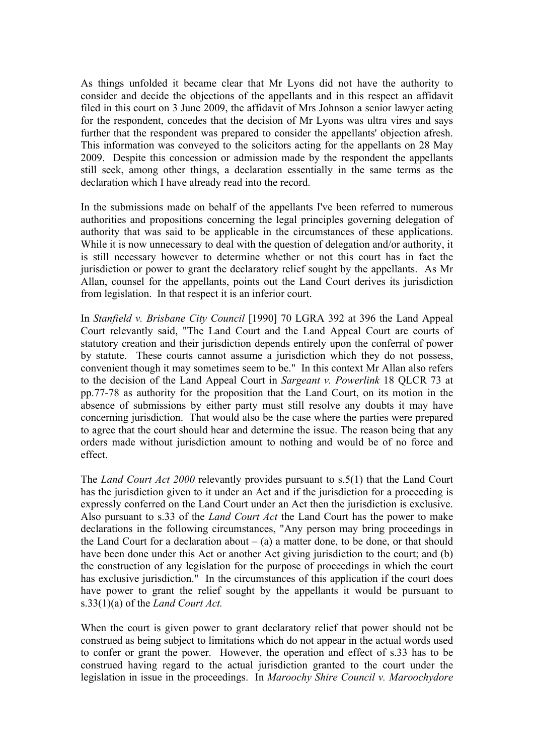As things unfolded it became clear that Mr Lyons did not have the authority to consider and decide the objections of the appellants and in this respect an affidavit filed in this court on 3 June 2009, the affidavit of Mrs Johnson a senior lawyer acting for the respondent, concedes that the decision of Mr Lyons was ultra vires and says further that the respondent was prepared to consider the appellants' objection afresh. This information was conveyed to the solicitors acting for the appellants on 28 May 2009. Despite this concession or admission made by the respondent the appellants still seek, among other things, a declaration essentially in the same terms as the declaration which I have already read into the record.

In the submissions made on behalf of the appellants I've been referred to numerous authorities and propositions concerning the legal principles governing delegation of authority that was said to be applicable in the circumstances of these applications. While it is now unnecessary to deal with the question of delegation and/or authority, it is still necessary however to determine whether or not this court has in fact the jurisdiction or power to grant the declaratory relief sought by the appellants. As Mr Allan, counsel for the appellants, points out the Land Court derives its jurisdiction from legislation. In that respect it is an inferior court.

In *Stanfield v. Brisbane City Council* [1990] 70 LGRA 392 at 396 the Land Appeal Court relevantly said, "The Land Court and the Land Appeal Court are courts of statutory creation and their jurisdiction depends entirely upon the conferral of power by statute. These courts cannot assume a jurisdiction which they do not possess, convenient though it may sometimes seem to be." In this context Mr Allan also refers to the decision of the Land Appeal Court in *Sargeant v. Powerlink* 18 QLCR 73 at pp.77-78 as authority for the proposition that the Land Court, on its motion in the absence of submissions by either party must still resolve any doubts it may have concerning jurisdiction. That would also be the case where the parties were prepared to agree that the court should hear and determine the issue. The reason being that any orders made without jurisdiction amount to nothing and would be of no force and effect.

The *Land Court Act 2000* relevantly provides pursuant to s.5(1) that the Land Court has the jurisdiction given to it under an Act and if the jurisdiction for a proceeding is expressly conferred on the Land Court under an Act then the jurisdiction is exclusive. Also pursuant to s.33 of the *Land Court Act* the Land Court has the power to make declarations in the following circumstances, "Any person may bring proceedings in the Land Court for a declaration about  $-$  (a) a matter done, to be done, or that should have been done under this Act or another Act giving jurisdiction to the court; and (b) the construction of any legislation for the purpose of proceedings in which the court has exclusive jurisdiction." In the circumstances of this application if the court does have power to grant the relief sought by the appellants it would be pursuant to s.33(1)(a) of the *Land Court Act.*

When the court is given power to grant declaratory relief that power should not be construed as being subject to limitations which do not appear in the actual words used to confer or grant the power. However, the operation and effect of s.33 has to be construed having regard to the actual jurisdiction granted to the court under the legislation in issue in the proceedings. In *Maroochy Shire Council v. Maroochydore*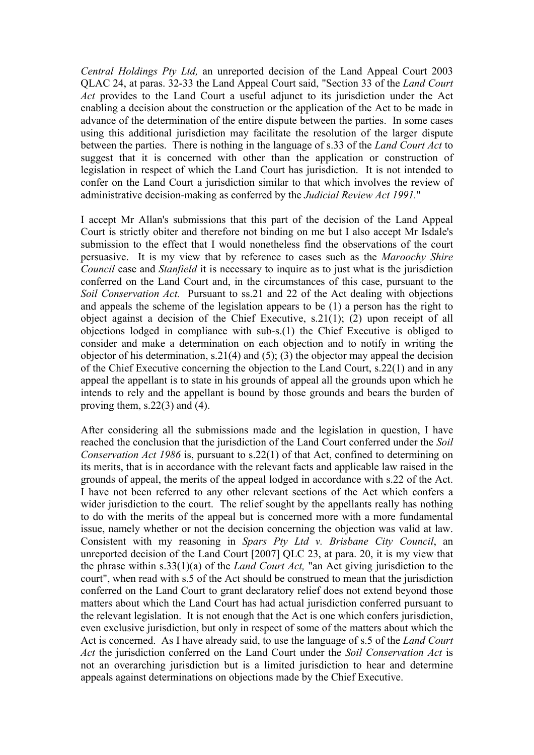*Central Holdings Pty Ltd,* an unreported decision of the Land Appeal Court 2003 QLAC 24, at paras. 32-33 the Land Appeal Court said, "Section 33 of the *Land Court Act* provides to the Land Court a useful adjunct to its jurisdiction under the Act enabling a decision about the construction or the application of the Act to be made in advance of the determination of the entire dispute between the parties. In some cases using this additional jurisdiction may facilitate the resolution of the larger dispute between the parties. There is nothing in the language of s.33 of the *Land Court Act* to suggest that it is concerned with other than the application or construction of legislation in respect of which the Land Court has jurisdiction. It is not intended to confer on the Land Court a jurisdiction similar to that which involves the review of administrative decision-making as conferred by the *Judicial Review Act 1991.*"

I accept Mr Allan's submissions that this part of the decision of the Land Appeal Court is strictly obiter and therefore not binding on me but I also accept Mr Isdale's submission to the effect that I would nonetheless find the observations of the court persuasive. It is my view that by reference to cases such as the *Maroochy Shire Council* case and *Stanfield* it is necessary to inquire as to just what is the jurisdiction conferred on the Land Court and, in the circumstances of this case, pursuant to the *Soil Conservation Act.* Pursuant to ss.21 and 22 of the Act dealing with objections and appeals the scheme of the legislation appears to be (1) a person has the right to object against a decision of the Chief Executive, s.21(1); (2) upon receipt of all objections lodged in compliance with sub-s.(1) the Chief Executive is obliged to consider and make a determination on each objection and to notify in writing the objector of his determination, s.21(4) and (5); (3) the objector may appeal the decision of the Chief Executive concerning the objection to the Land Court, s.22(1) and in any appeal the appellant is to state in his grounds of appeal all the grounds upon which he intends to rely and the appellant is bound by those grounds and bears the burden of proving them,  $s.22(3)$  and  $(4)$ .

After considering all the submissions made and the legislation in question, I have reached the conclusion that the jurisdiction of the Land Court conferred under the *Soil Conservation Act 1986* is, pursuant to s.22(1) of that Act, confined to determining on its merits, that is in accordance with the relevant facts and applicable law raised in the grounds of appeal, the merits of the appeal lodged in accordance with s.22 of the Act. I have not been referred to any other relevant sections of the Act which confers a wider jurisdiction to the court. The relief sought by the appellants really has nothing to do with the merits of the appeal but is concerned more with a more fundamental issue, namely whether or not the decision concerning the objection was valid at law. Consistent with my reasoning in *Spars Pty Ltd v. Brisbane City Council*, an unreported decision of the Land Court [2007] QLC 23, at para. 20, it is my view that the phrase within s.33(1)(a) of the *Land Court Act,* "an Act giving jurisdiction to the court", when read with s.5 of the Act should be construed to mean that the jurisdiction conferred on the Land Court to grant declaratory relief does not extend beyond those matters about which the Land Court has had actual jurisdiction conferred pursuant to the relevant legislation. It is not enough that the Act is one which confers jurisdiction, even exclusive jurisdiction, but only in respect of some of the matters about which the Act is concerned. As I have already said, to use the language of s.5 of the *Land Court Act* the jurisdiction conferred on the Land Court under the *Soil Conservation Act* is not an overarching jurisdiction but is a limited jurisdiction to hear and determine appeals against determinations on objections made by the Chief Executive.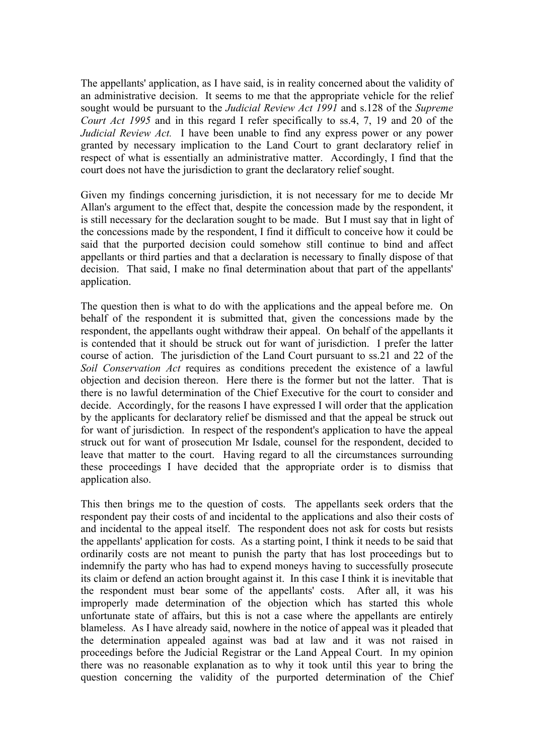The appellants' application, as I have said, is in reality concerned about the validity of an administrative decision. It seems to me that the appropriate vehicle for the relief sought would be pursuant to the *Judicial Review Act 1991* and s.128 of the *Supreme Court Act 1995* and in this regard I refer specifically to ss.4, 7, 19 and 20 of the *Judicial Review Act.* I have been unable to find any express power or any power granted by necessary implication to the Land Court to grant declaratory relief in respect of what is essentially an administrative matter. Accordingly, I find that the court does not have the jurisdiction to grant the declaratory relief sought.

Given my findings concerning jurisdiction, it is not necessary for me to decide Mr Allan's argument to the effect that, despite the concession made by the respondent, it is still necessary for the declaration sought to be made. But I must say that in light of the concessions made by the respondent, I find it difficult to conceive how it could be said that the purported decision could somehow still continue to bind and affect appellants or third parties and that a declaration is necessary to finally dispose of that decision. That said, I make no final determination about that part of the appellants' application.

The question then is what to do with the applications and the appeal before me. On behalf of the respondent it is submitted that, given the concessions made by the respondent, the appellants ought withdraw their appeal. On behalf of the appellants it is contended that it should be struck out for want of jurisdiction. I prefer the latter course of action. The jurisdiction of the Land Court pursuant to ss.21 and 22 of the *Soil Conservation Act* requires as conditions precedent the existence of a lawful objection and decision thereon. Here there is the former but not the latter. That is there is no lawful determination of the Chief Executive for the court to consider and decide. Accordingly, for the reasons I have expressed I will order that the application by the applicants for declaratory relief be dismissed and that the appeal be struck out for want of jurisdiction. In respect of the respondent's application to have the appeal struck out for want of prosecution Mr Isdale, counsel for the respondent, decided to leave that matter to the court. Having regard to all the circumstances surrounding these proceedings I have decided that the appropriate order is to dismiss that application also.

This then brings me to the question of costs. The appellants seek orders that the respondent pay their costs of and incidental to the applications and also their costs of and incidental to the appeal itself. The respondent does not ask for costs but resists the appellants' application for costs. As a starting point, I think it needs to be said that ordinarily costs are not meant to punish the party that has lost proceedings but to indemnify the party who has had to expend moneys having to successfully prosecute its claim or defend an action brought against it. In this case I think it is inevitable that the respondent must bear some of the appellants' costs. After all, it was his improperly made determination of the objection which has started this whole unfortunate state of affairs, but this is not a case where the appellants are entirely blameless. As I have already said, nowhere in the notice of appeal was it pleaded that the determination appealed against was bad at law and it was not raised in proceedings before the Judicial Registrar or the Land Appeal Court. In my opinion there was no reasonable explanation as to why it took until this year to bring the question concerning the validity of the purported determination of the Chief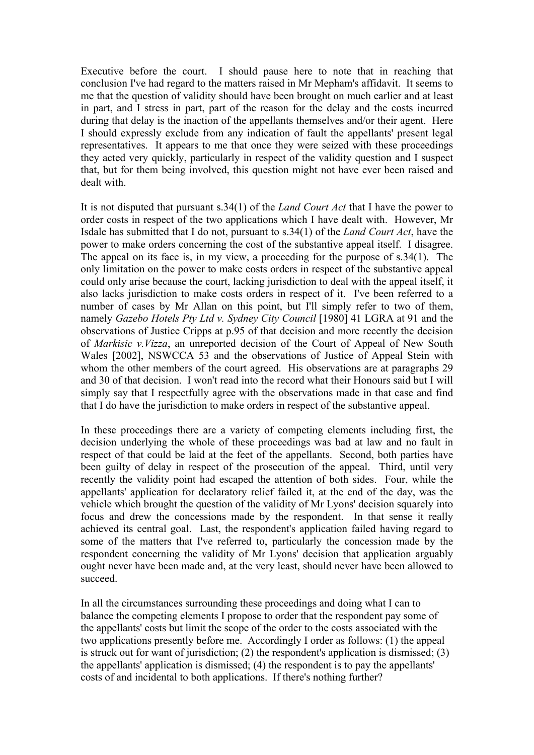Executive before the court. I should pause here to note that in reaching that conclusion I've had regard to the matters raised in Mr Mepham's affidavit. It seems to me that the question of validity should have been brought on much earlier and at least in part, and I stress in part, part of the reason for the delay and the costs incurred during that delay is the inaction of the appellants themselves and/or their agent. Here I should expressly exclude from any indication of fault the appellants' present legal representatives. It appears to me that once they were seized with these proceedings they acted very quickly, particularly in respect of the validity question and I suspect that, but for them being involved, this question might not have ever been raised and dealt with.

It is not disputed that pursuant s.34(1) of the *Land Court Act* that I have the power to order costs in respect of the two applications which I have dealt with. However, Mr Isdale has submitted that I do not, pursuant to s.34(1) of the *Land Court Act*, have the power to make orders concerning the cost of the substantive appeal itself. I disagree. The appeal on its face is, in my view, a proceeding for the purpose of s.34(1). The only limitation on the power to make costs orders in respect of the substantive appeal could only arise because the court, lacking jurisdiction to deal with the appeal itself, it also lacks jurisdiction to make costs orders in respect of it. I've been referred to a number of cases by Mr Allan on this point, but I'll simply refer to two of them, namely *Gazebo Hotels Pty Ltd v. Sydney City Council* [1980] 41 LGRA at 91 and the observations of Justice Cripps at p.95 of that decision and more recently the decision of *Markisic v.Vizza*, an unreported decision of the Court of Appeal of New South Wales [2002], NSWCCA 53 and the observations of Justice of Appeal Stein with whom the other members of the court agreed. His observations are at paragraphs 29 and 30 of that decision. I won't read into the record what their Honours said but I will simply say that I respectfully agree with the observations made in that case and find that I do have the jurisdiction to make orders in respect of the substantive appeal.

In these proceedings there are a variety of competing elements including first, the decision underlying the whole of these proceedings was bad at law and no fault in respect of that could be laid at the feet of the appellants. Second, both parties have been guilty of delay in respect of the prosecution of the appeal. Third, until very recently the validity point had escaped the attention of both sides. Four, while the appellants' application for declaratory relief failed it, at the end of the day, was the vehicle which brought the question of the validity of Mr Lyons' decision squarely into focus and drew the concessions made by the respondent. In that sense it really achieved its central goal. Last, the respondent's application failed having regard to some of the matters that I've referred to, particularly the concession made by the respondent concerning the validity of Mr Lyons' decision that application arguably ought never have been made and, at the very least, should never have been allowed to succeed.

In all the circumstances surrounding these proceedings and doing what I can to balance the competing elements I propose to order that the respondent pay some of the appellants' costs but limit the scope of the order to the costs associated with the two applications presently before me. Accordingly I order as follows: (1) the appeal is struck out for want of jurisdiction; (2) the respondent's application is dismissed; (3) the appellants' application is dismissed; (4) the respondent is to pay the appellants' costs of and incidental to both applications. If there's nothing further?